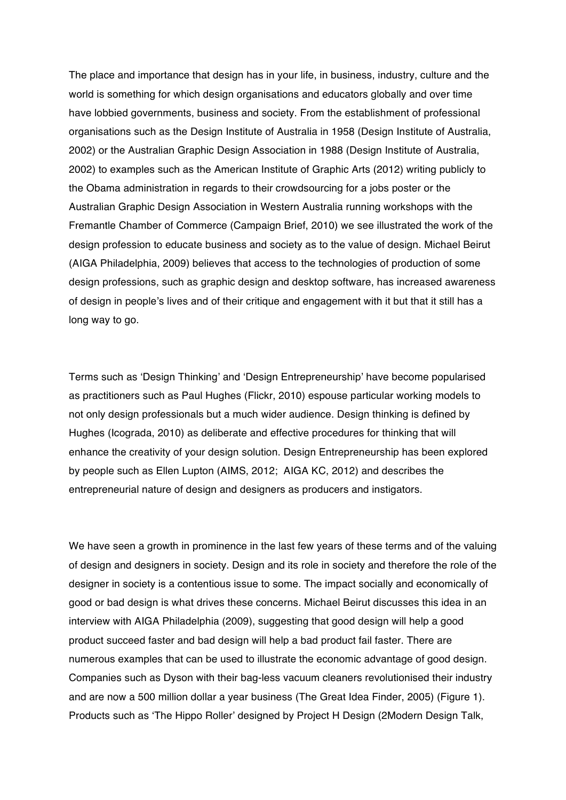The place and importance that design has in your life, in business, industry, culture and the world is something for which design organisations and educators globally and over time have lobbied governments, business and society. From the establishment of professional organisations such as the Design Institute of Australia in 1958 (Design Institute of Australia, 2002) or the Australian Graphic Design Association in 1988 (Design Institute of Australia, 2002) to examples such as the American Institute of Graphic Arts (2012) writing publicly to the Obama administration in regards to their crowdsourcing for a jobs poster or the Australian Graphic Design Association in Western Australia running workshops with the Fremantle Chamber of Commerce (Campaign Brief, 2010) we see illustrated the work of the design profession to educate business and society as to the value of design. Michael Beirut (AIGA Philadelphia, 2009) believes that access to the technologies of production of some design professions, such as graphic design and desktop software, has increased awareness of design in people's lives and of their critique and engagement with it but that it still has a long way to go.

Terms such as 'Design Thinking' and 'Design Entrepreneurship' have become popularised as practitioners such as Paul Hughes (Flickr, 2010) espouse particular working models to not only design professionals but a much wider audience. Design thinking is defined by Hughes (Icograda, 2010) as deliberate and effective procedures for thinking that will enhance the creativity of your design solution. Design Entrepreneurship has been explored by people such as Ellen Lupton (AIMS, 2012; AIGA KC, 2012) and describes the entrepreneurial nature of design and designers as producers and instigators.

We have seen a growth in prominence in the last few years of these terms and of the valuing of design and designers in society. Design and its role in society and therefore the role of the designer in society is a contentious issue to some. The impact socially and economically of good or bad design is what drives these concerns. Michael Beirut discusses this idea in an interview with AIGA Philadelphia (2009), suggesting that good design will help a good product succeed faster and bad design will help a bad product fail faster. There are numerous examples that can be used to illustrate the economic advantage of good design. Companies such as Dyson with their bag-less vacuum cleaners revolutionised their industry and are now a 500 million dollar a year business (The Great Idea Finder, 2005) (Figure 1). Products such as 'The Hippo Roller' designed by Project H Design (2Modern Design Talk,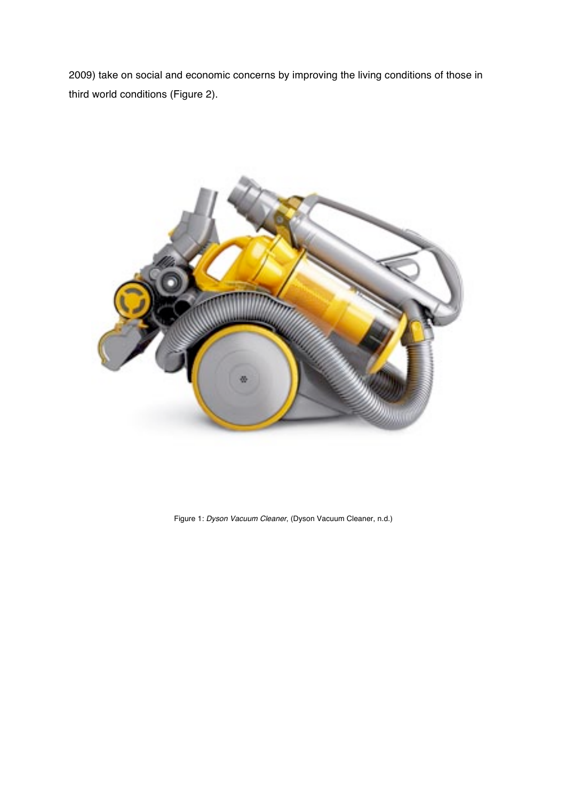2009) take on social and economic concerns by improving the living conditions of those in third world conditions (Figure 2).



Figure 1: *Dyson Vacuum Cleaner*, (Dyson Vacuum Cleaner, n.d.)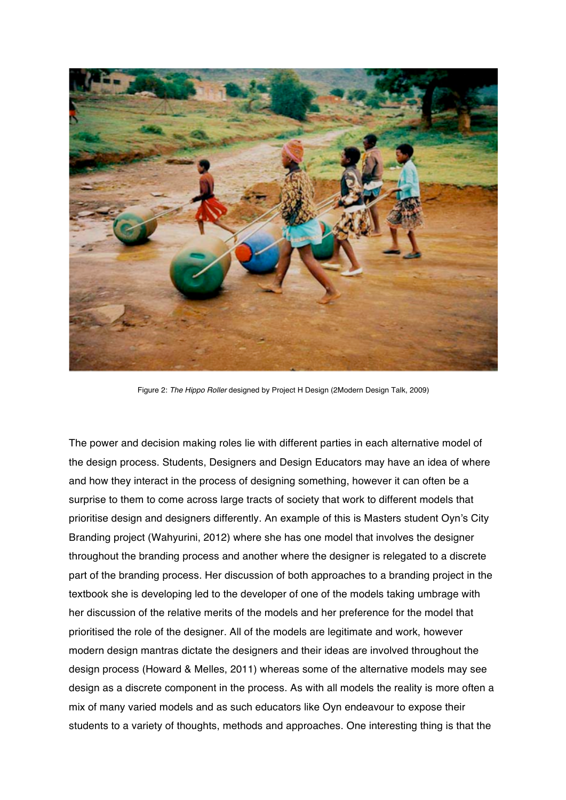

Figure 2: *The Hippo Roller* designed by Project H Design (2Modern Design Talk, 2009)

The power and decision making roles lie with different parties in each alternative model of the design process. Students, Designers and Design Educators may have an idea of where and how they interact in the process of designing something, however it can often be a surprise to them to come across large tracts of society that work to different models that prioritise design and designers differently. An example of this is Masters student Oyn's City Branding project (Wahyurini, 2012) where she has one model that involves the designer throughout the branding process and another where the designer is relegated to a discrete part of the branding process. Her discussion of both approaches to a branding project in the textbook she is developing led to the developer of one of the models taking umbrage with her discussion of the relative merits of the models and her preference for the model that prioritised the role of the designer. All of the models are legitimate and work, however modern design mantras dictate the designers and their ideas are involved throughout the design process (Howard & Melles, 2011) whereas some of the alternative models may see design as a discrete component in the process. As with all models the reality is more often a mix of many varied models and as such educators like Oyn endeavour to expose their students to a variety of thoughts, methods and approaches. One interesting thing is that the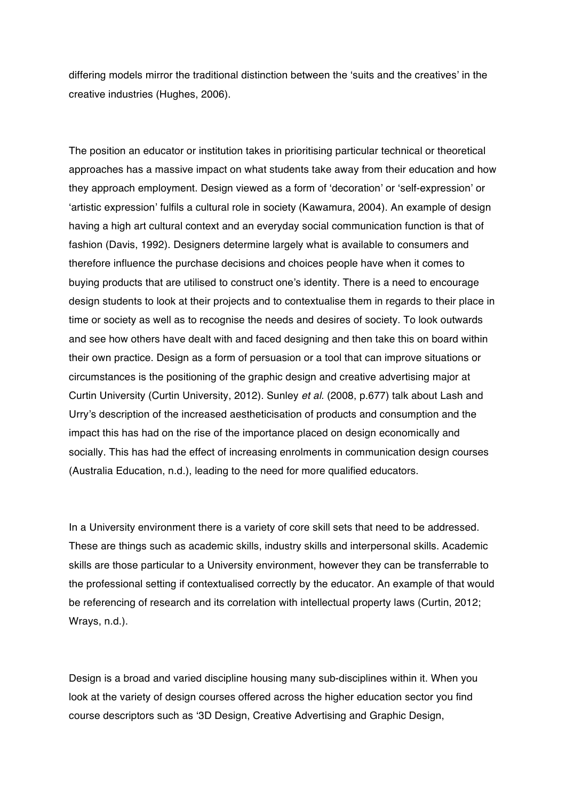differing models mirror the traditional distinction between the 'suits and the creatives' in the creative industries (Hughes, 2006).

The position an educator or institution takes in prioritising particular technical or theoretical approaches has a massive impact on what students take away from their education and how they approach employment. Design viewed as a form of 'decoration' or 'self-expression' or 'artistic expression' fulfils a cultural role in society (Kawamura, 2004). An example of design having a high art cultural context and an everyday social communication function is that of fashion (Davis, 1992). Designers determine largely what is available to consumers and therefore influence the purchase decisions and choices people have when it comes to buying products that are utilised to construct one's identity. There is a need to encourage design students to look at their projects and to contextualise them in regards to their place in time or society as well as to recognise the needs and desires of society. To look outwards and see how others have dealt with and faced designing and then take this on board within their own practice. Design as a form of persuasion or a tool that can improve situations or circumstances is the positioning of the graphic design and creative advertising major at Curtin University (Curtin University, 2012). Sunley *et al.* (2008, p.677) talk about Lash and Urry's description of the increased aestheticisation of products and consumption and the impact this has had on the rise of the importance placed on design economically and socially. This has had the effect of increasing enrolments in communication design courses (Australia Education, n.d.), leading to the need for more qualified educators.

In a University environment there is a variety of core skill sets that need to be addressed. These are things such as academic skills, industry skills and interpersonal skills. Academic skills are those particular to a University environment, however they can be transferrable to the professional setting if contextualised correctly by the educator. An example of that would be referencing of research and its correlation with intellectual property laws (Curtin, 2012; Wrays, n.d.).

Design is a broad and varied discipline housing many sub-disciplines within it. When you look at the variety of design courses offered across the higher education sector you find course descriptors such as '3D Design, Creative Advertising and Graphic Design,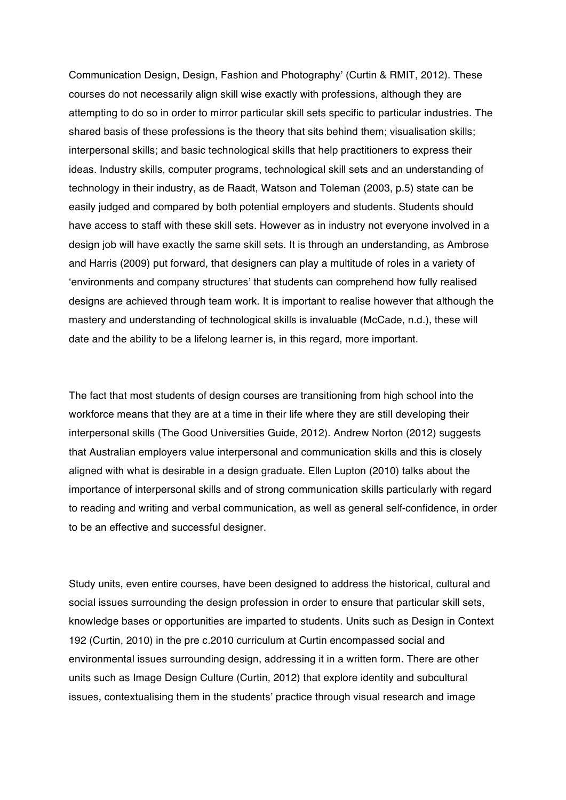Communication Design, Design, Fashion and Photography' (Curtin & RMIT, 2012). These courses do not necessarily align skill wise exactly with professions, although they are attempting to do so in order to mirror particular skill sets specific to particular industries. The shared basis of these professions is the theory that sits behind them; visualisation skills; interpersonal skills; and basic technological skills that help practitioners to express their ideas. Industry skills, computer programs, technological skill sets and an understanding of technology in their industry, as de Raadt, Watson and Toleman (2003, p.5) state can be easily judged and compared by both potential employers and students. Students should have access to staff with these skill sets. However as in industry not everyone involved in a design job will have exactly the same skill sets. It is through an understanding, as Ambrose and Harris (2009) put forward, that designers can play a multitude of roles in a variety of 'environments and company structures' that students can comprehend how fully realised designs are achieved through team work. It is important to realise however that although the mastery and understanding of technological skills is invaluable (McCade, n.d.), these will date and the ability to be a lifelong learner is, in this regard, more important.

The fact that most students of design courses are transitioning from high school into the workforce means that they are at a time in their life where they are still developing their interpersonal skills (The Good Universities Guide, 2012). Andrew Norton (2012) suggests that Australian employers value interpersonal and communication skills and this is closely aligned with what is desirable in a design graduate. Ellen Lupton (2010) talks about the importance of interpersonal skills and of strong communication skills particularly with regard to reading and writing and verbal communication, as well as general self-confidence, in order to be an effective and successful designer.

Study units, even entire courses, have been designed to address the historical, cultural and social issues surrounding the design profession in order to ensure that particular skill sets, knowledge bases or opportunities are imparted to students. Units such as Design in Context 192 (Curtin, 2010) in the pre c.2010 curriculum at Curtin encompassed social and environmental issues surrounding design, addressing it in a written form. There are other units such as Image Design Culture (Curtin, 2012) that explore identity and subcultural issues, contextualising them in the students' practice through visual research and image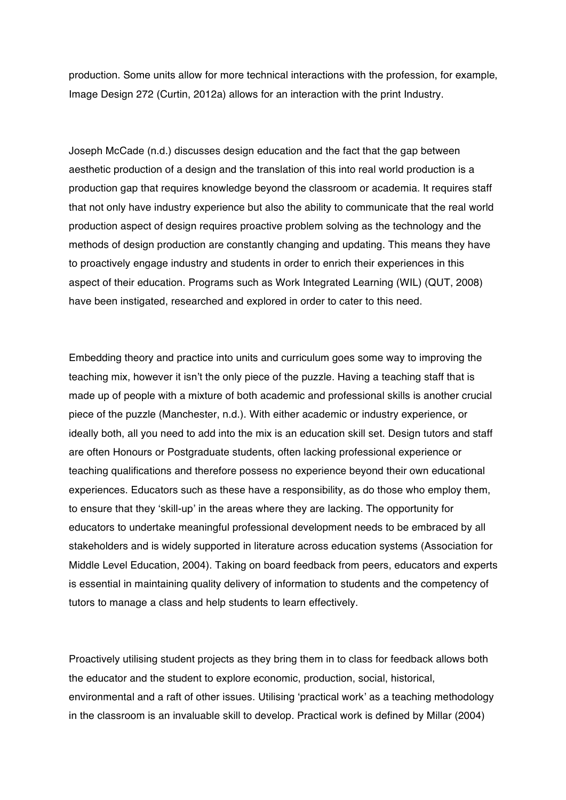production. Some units allow for more technical interactions with the profession, for example, Image Design 272 (Curtin, 2012a) allows for an interaction with the print Industry.

Joseph McCade (n.d.) discusses design education and the fact that the gap between aesthetic production of a design and the translation of this into real world production is a production gap that requires knowledge beyond the classroom or academia. It requires staff that not only have industry experience but also the ability to communicate that the real world production aspect of design requires proactive problem solving as the technology and the methods of design production are constantly changing and updating. This means they have to proactively engage industry and students in order to enrich their experiences in this aspect of their education. Programs such as Work Integrated Learning (WIL) (QUT, 2008) have been instigated, researched and explored in order to cater to this need.

Embedding theory and practice into units and curriculum goes some way to improving the teaching mix, however it isn't the only piece of the puzzle. Having a teaching staff that is made up of people with a mixture of both academic and professional skills is another crucial piece of the puzzle (Manchester, n.d.). With either academic or industry experience, or ideally both, all you need to add into the mix is an education skill set. Design tutors and staff are often Honours or Postgraduate students, often lacking professional experience or teaching qualifications and therefore possess no experience beyond their own educational experiences. Educators such as these have a responsibility, as do those who employ them, to ensure that they 'skill-up' in the areas where they are lacking. The opportunity for educators to undertake meaningful professional development needs to be embraced by all stakeholders and is widely supported in literature across education systems (Association for Middle Level Education, 2004). Taking on board feedback from peers, educators and experts is essential in maintaining quality delivery of information to students and the competency of tutors to manage a class and help students to learn effectively.

Proactively utilising student projects as they bring them in to class for feedback allows both the educator and the student to explore economic, production, social, historical, environmental and a raft of other issues. Utilising 'practical work' as a teaching methodology in the classroom is an invaluable skill to develop. Practical work is defined by Millar (2004)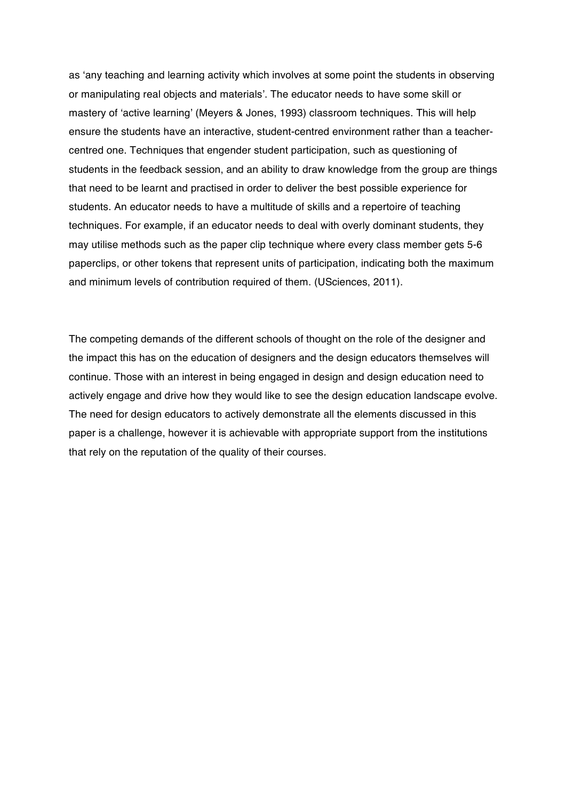as 'any teaching and learning activity which involves at some point the students in observing or manipulating real objects and materials'. The educator needs to have some skill or mastery of 'active learning' (Meyers & Jones, 1993) classroom techniques. This will help ensure the students have an interactive, student-centred environment rather than a teachercentred one. Techniques that engender student participation, such as questioning of students in the feedback session, and an ability to draw knowledge from the group are things that need to be learnt and practised in order to deliver the best possible experience for students. An educator needs to have a multitude of skills and a repertoire of teaching techniques. For example, if an educator needs to deal with overly dominant students, they may utilise methods such as the paper clip technique where every class member gets 5-6 paperclips, or other tokens that represent units of participation, indicating both the maximum and minimum levels of contribution required of them. (USciences, 2011).

The competing demands of the different schools of thought on the role of the designer and the impact this has on the education of designers and the design educators themselves will continue. Those with an interest in being engaged in design and design education need to actively engage and drive how they would like to see the design education landscape evolve. The need for design educators to actively demonstrate all the elements discussed in this paper is a challenge, however it is achievable with appropriate support from the institutions that rely on the reputation of the quality of their courses.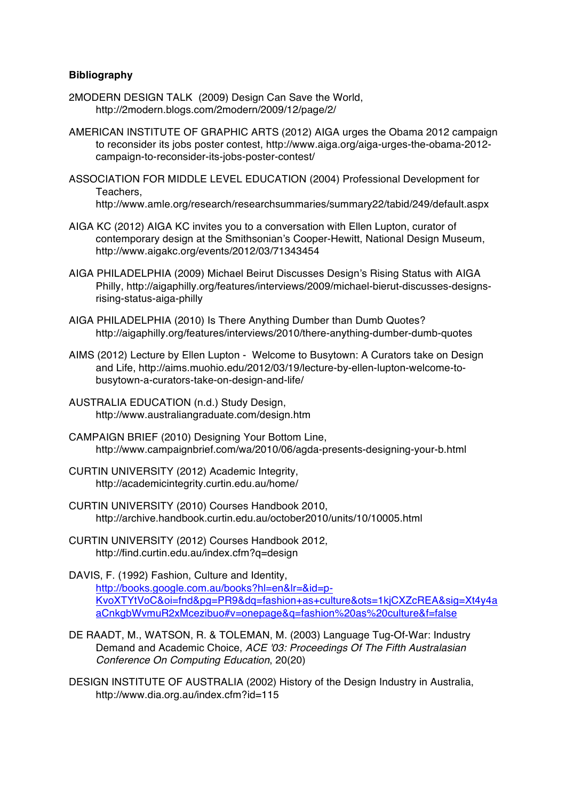## **Bibliography**

- 2MODERN DESIGN TALK (2009) Design Can Save the World, http://2modern.blogs.com/2modern/2009/12/page/2/
- AMERICAN INSTITUTE OF GRAPHIC ARTS (2012) AIGA urges the Obama 2012 campaign to reconsider its jobs poster contest, http://www.aiga.org/aiga-urges-the-obama-2012 campaign-to-reconsider-its-jobs-poster-contest/
- ASSOCIATION FOR MIDDLE LEVEL EDUCATION (2004) Professional Development for Teachers, http://www.amle.org/research/researchsummaries/summary22/tabid/249/default.aspx
- AIGA KC (2012) AIGA KC invites you to a conversation with Ellen Lupton, curator of contemporary design at the Smithsonian's Cooper-Hewitt, National Design Museum, http://www.aigakc.org/events/2012/03/71343454
- AIGA PHILADELPHIA (2009) Michael Beirut Discusses Design's Rising Status with AIGA Philly, http://aigaphilly.org/features/interviews/2009/michael-bierut-discusses-designsrising-status-aiga-philly
- AIGA PHILADELPHIA (2010) Is There Anything Dumber than Dumb Quotes? http://aigaphilly.org/features/interviews/2010/there-anything-dumber-dumb-quotes
- AIMS (2012) Lecture by Ellen Lupton Welcome to Busytown: A Curators take on Design and Life, http://aims.muohio.edu/2012/03/19/lecture-by-ellen-lupton-welcome-tobusytown-a-curators-take-on-design-and-life/
- AUSTRALIA EDUCATION (n.d.) Study Design, http://www.australiangraduate.com/design.htm
- CAMPAIGN BRIEF (2010) Designing Your Bottom Line, http://www.campaignbrief.com/wa/2010/06/agda-presents-designing-your-b.html
- CURTIN UNIVERSITY (2012) Academic Integrity, http://academicintegrity.curtin.edu.au/home/
- CURTIN UNIVERSITY (2010) Courses Handbook 2010, http://archive.handbook.curtin.edu.au/october2010/units/10/10005.html
- CURTIN UNIVERSITY (2012) Courses Handbook 2012, http://find.curtin.edu.au/index.cfm?q=design

DAVIS, F. (1992) Fashion, Culture and Identity, http://books.google.com.au/books?hl=en&lr=&id=p-KvoXTYtVoC&oi=fnd&pg=PR9&dq=fashion+as+culture&ots=1kjCXZcREA&sig=Xt4y4a aCnkgbWvmuR2xMcezibuo#v=onepage&q=fashion%20as%20culture&f=false

- DE RAADT, M., WATSON, R. & TOLEMAN, M. (2003) Language Tug-Of-War: Industry Demand and Academic Choice, *ACE '03: Proceedings Of The Fifth Australasian Conference On Computing Education*, 20(20)
- DESIGN INSTITUTE OF AUSTRALIA (2002) History of the Design Industry in Australia, http://www.dia.org.au/index.cfm?id=115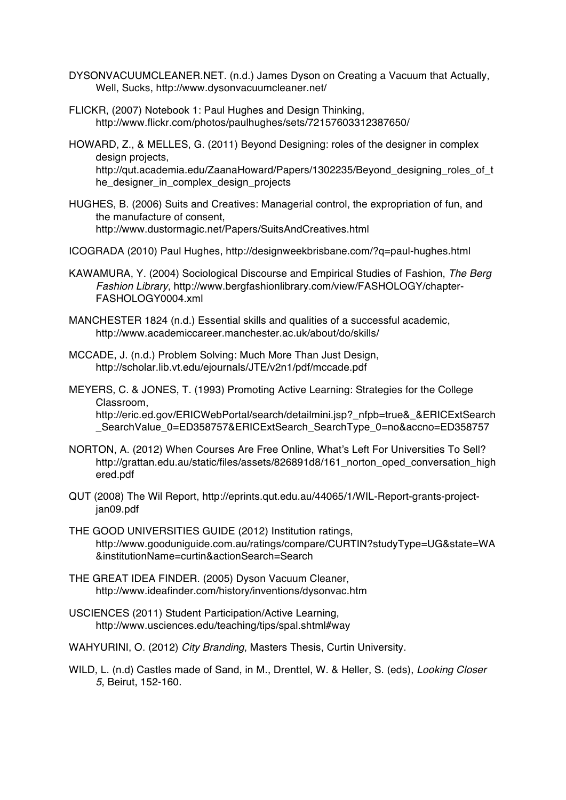- DYSONVACUUMCLEANER.NET. (n.d.) James Dyson on Creating a Vacuum that Actually, Well, Sucks, http://www.dysonvacuumcleaner.net/
- FLICKR, (2007) Notebook 1: Paul Hughes and Design Thinking, http://www.flickr.com/photos/paulhughes/sets/72157603312387650/
- HOWARD, Z., & MELLES, G. (2011) Beyond Designing: roles of the designer in complex design projects, http://qut.academia.edu/ZaanaHoward/Papers/1302235/Beyond\_designing\_roles\_of\_t he\_designer\_in\_complex\_design\_projects
- HUGHES, B. (2006) Suits and Creatives: Managerial control, the expropriation of fun, and the manufacture of consent, http://www.dustormagic.net/Papers/SuitsAndCreatives.html
- ICOGRADA (2010) Paul Hughes, http://designweekbrisbane.com/?q=paul-hughes.html
- KAWAMURA, Y. (2004) Sociological Discourse and Empirical Studies of Fashion, *The Berg Fashion Library*, http://www.bergfashionlibrary.com/view/FASHOLOGY/chapter-FASHOLOGY0004.xml
- MANCHESTER 1824 (n.d.) Essential skills and qualities of a successful academic, http://www.academiccareer.manchester.ac.uk/about/do/skills/
- MCCADE, J. (n.d.) Problem Solving: Much More Than Just Design, http://scholar.lib.vt.edu/ejournals/JTE/v2n1/pdf/mccade.pdf
- MEYERS, C. & JONES, T. (1993) Promoting Active Learning: Strategies for the College Classroom, http://eric.ed.gov/ERICWebPortal/search/detailmini.jsp?\_nfpb=true&\_&ERICExtSearch

\_SearchValue\_0=ED358757&ERICExtSearch\_SearchType\_0=no&accno=ED358757

- NORTON, A. (2012) When Courses Are Free Online, What's Left For Universities To Sell? http://grattan.edu.au/static/files/assets/826891d8/161\_norton\_oped\_conversation\_high ered.pdf
- QUT (2008) The Wil Report, http://eprints.qut.edu.au/44065/1/WIL-Report-grants-projectjan09.pdf
- THE GOOD UNIVERSITIES GUIDE (2012) Institution ratings, http://www.gooduniguide.com.au/ratings/compare/CURTIN?studyType=UG&state=WA &institutionName=curtin&actionSearch=Search
- THE GREAT IDEA FINDER. (2005) Dyson Vacuum Cleaner, http://www.ideafinder.com/history/inventions/dysonvac.htm
- USCIENCES (2011) Student Participation/Active Learning, http://www.usciences.edu/teaching/tips/spal.shtml#way
- WAHYURINI, O. (2012) *City Branding*, Masters Thesis, Curtin University.
- WILD, L. (n.d) Castles made of Sand, in M., Drenttel, W. & Heller, S. (eds), *Looking Closer 5*, Beirut, 152-160.